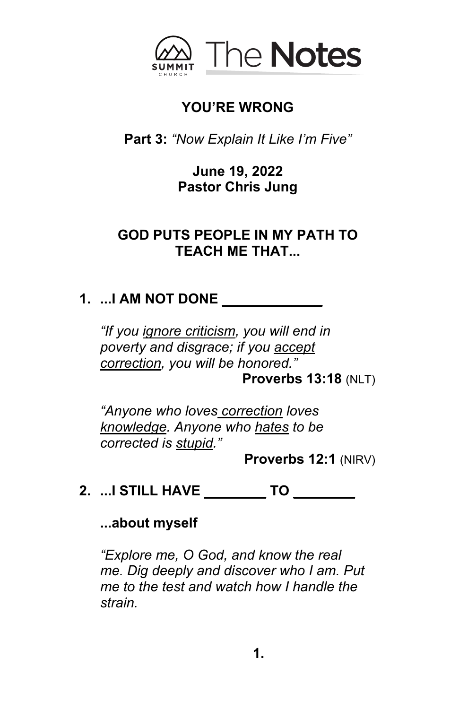

## **YOU'RE WRONG**

**Part 3:** *"Now Explain It Like I'm Five"*

**June 19, 2022 Pastor Chris Jung** 

## **GOD PUTS PEOPLE IN MY PATH TO TEACH ME THAT...**

# **1. ...I AM NOT DONE \_\_\_\_\_\_\_\_\_\_\_\_\_**

*"If you ignore criticism, you will end in poverty and disgrace; if you accept correction, you will be honored."* 

**Proverbs 13:18** (NLT)

*"Anyone who loves correction loves knowledge. Anyone who hates to be corrected is stupid."* 

**Proverbs 12:1** (NIRV)

**2. ...I STILL HAVE \_\_\_\_\_\_\_\_ TO \_\_\_\_\_\_\_\_**

**...about myself**

*"Explore me, O God, and know the real me. Dig deeply and discover who I am. Put me to the test and watch how I handle the strain.*